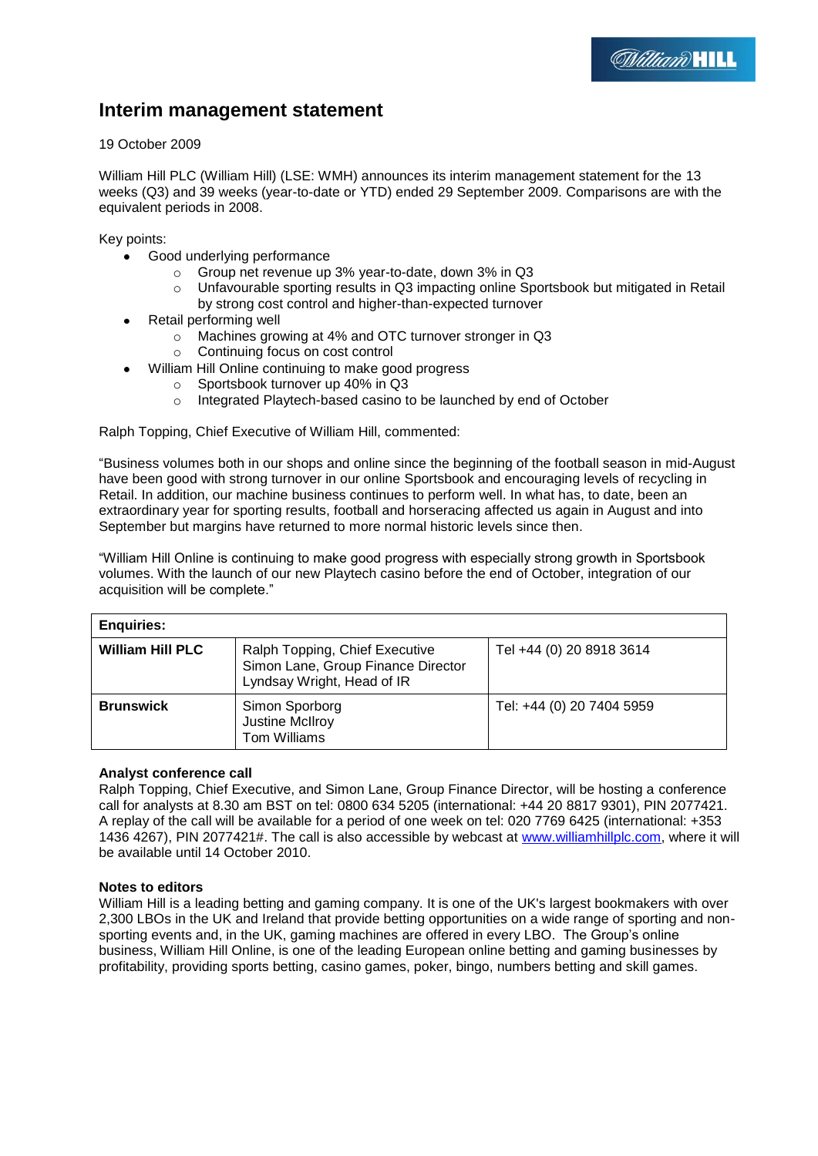# **Interim management statement**

## 19 October 2009

William Hill PLC (William Hill) (LSE: WMH) announces its interim management statement for the 13 weeks (Q3) and 39 weeks (year-to-date or YTD) ended 29 September 2009. Comparisons are with the equivalent periods in 2008.

Key points:

- Good underlying performance  $\bullet$ 
	- o Group net revenue up 3% year-to-date, down 3% in Q3
	- o Unfavourable sporting results in Q3 impacting online Sportsbook but mitigated in Retail by strong cost control and higher-than-expected turnover
- Retail performing well
	- o Machines growing at 4% and OTC turnover stronger in Q3
	- o Continuing focus on cost control
- William Hill Online continuing to make good progress
	- o Sportsbook turnover up 40% in Q3
	- o Integrated Playtech-based casino to be launched by end of October

Ralph Topping, Chief Executive of William Hill, commented:

"Business volumes both in our shops and online since the beginning of the football season in mid-August have been good with strong turnover in our online Sportsbook and encouraging levels of recycling in Retail. In addition, our machine business continues to perform well. In what has, to date, been an extraordinary year for sporting results, football and horseracing affected us again in August and into September but margins have returned to more normal historic levels since then.

"William Hill Online is continuing to make good progress with especially strong growth in Sportsbook volumes. With the launch of our new Playtech casino before the end of October, integration of our acquisition will be complete."

| <b>Enquiries:</b>       |                                                                                                    |                           |
|-------------------------|----------------------------------------------------------------------------------------------------|---------------------------|
| <b>William Hill PLC</b> | Ralph Topping, Chief Executive<br>Simon Lane, Group Finance Director<br>Lyndsay Wright, Head of IR | Tel +44 (0) 20 8918 3614  |
| <b>Brunswick</b>        | Simon Sporborg<br>Justine McIlroy<br>Tom Williams                                                  | Tel: +44 (0) 20 7404 5959 |

#### **Analyst conference call**

Ralph Topping, Chief Executive, and Simon Lane, Group Finance Director, will be hosting a conference call for analysts at 8.30 am BST on tel: 0800 634 5205 (international: +44 20 8817 9301), PIN 2077421. A replay of the call will be available for a period of one week on tel: 020 7769 6425 (international: +353 1436 4267), PIN 2077421#. The call is also accessible by webcast at [www.williamhillplc.com,](http://www.williamhillplc.com/) where it will be available until 14 October 2010.

## **Notes to editors**

William Hill is a leading betting and gaming company. It is one of the UK's largest bookmakers with over 2,300 LBOs in the UK and Ireland that provide betting opportunities on a wide range of sporting and nonsporting events and, in the UK, gaming machines are offered in every LBO. The Group's online business, William Hill Online, is one of the leading European online betting and gaming businesses by profitability, providing sports betting, casino games, poker, bingo, numbers betting and skill games.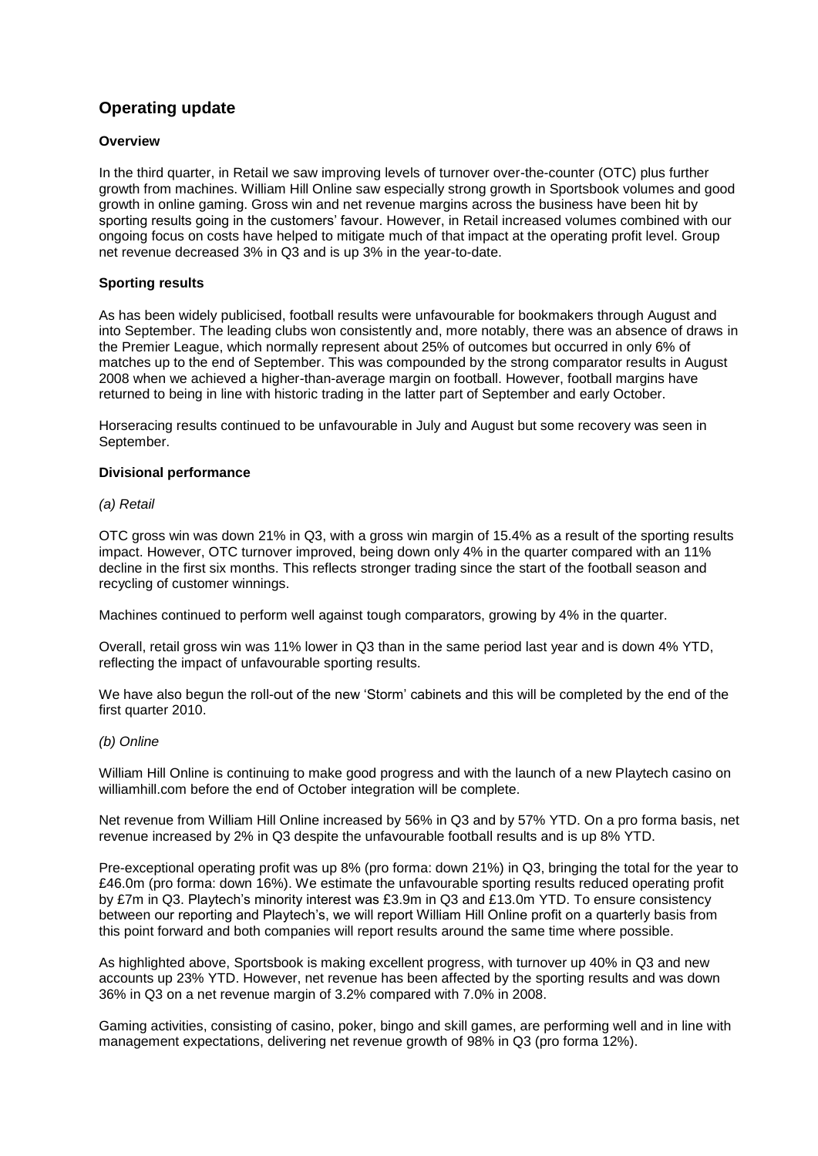## **Operating update**

## **Overview**

In the third quarter, in Retail we saw improving levels of turnover over-the-counter (OTC) plus further growth from machines. William Hill Online saw especially strong growth in Sportsbook volumes and good growth in online gaming. Gross win and net revenue margins across the business have been hit by sporting results going in the customers" favour. However, in Retail increased volumes combined with our ongoing focus on costs have helped to mitigate much of that impact at the operating profit level. Group net revenue decreased 3% in Q3 and is up 3% in the year-to-date.

## **Sporting results**

As has been widely publicised, football results were unfavourable for bookmakers through August and into September. The leading clubs won consistently and, more notably, there was an absence of draws in the Premier League, which normally represent about 25% of outcomes but occurred in only 6% of matches up to the end of September. This was compounded by the strong comparator results in August 2008 when we achieved a higher-than-average margin on football. However, football margins have returned to being in line with historic trading in the latter part of September and early October.

Horseracing results continued to be unfavourable in July and August but some recovery was seen in September.

#### **Divisional performance**

#### *(a) Retail*

OTC gross win was down 21% in Q3, with a gross win margin of 15.4% as a result of the sporting results impact. However, OTC turnover improved, being down only 4% in the quarter compared with an 11% decline in the first six months. This reflects stronger trading since the start of the football season and recycling of customer winnings.

Machines continued to perform well against tough comparators, growing by 4% in the quarter.

Overall, retail gross win was 11% lower in Q3 than in the same period last year and is down 4% YTD, reflecting the impact of unfavourable sporting results.

We have also begun the roll-out of the new "Storm" cabinets and this will be completed by the end of the first quarter 2010.

#### *(b) Online*

William Hill Online is continuing to make good progress and with the launch of a new Playtech casino on williamhill.com before the end of October integration will be complete.

Net revenue from William Hill Online increased by 56% in Q3 and by 57% YTD. On a pro forma basis, net revenue increased by 2% in Q3 despite the unfavourable football results and is up 8% YTD.

Pre-exceptional operating profit was up 8% (pro forma: down 21%) in Q3, bringing the total for the year to £46.0m (pro forma: down 16%). We estimate the unfavourable sporting results reduced operating profit by £7m in Q3. Playtech"s minority interest was £3.9m in Q3 and £13.0m YTD. To ensure consistency between our reporting and Playtech"s, we will report William Hill Online profit on a quarterly basis from this point forward and both companies will report results around the same time where possible.

As highlighted above, Sportsbook is making excellent progress, with turnover up 40% in Q3 and new accounts up 23% YTD. However, net revenue has been affected by the sporting results and was down 36% in Q3 on a net revenue margin of 3.2% compared with 7.0% in 2008.

Gaming activities, consisting of casino, poker, bingo and skill games, are performing well and in line with management expectations, delivering net revenue growth of 98% in Q3 (pro forma 12%).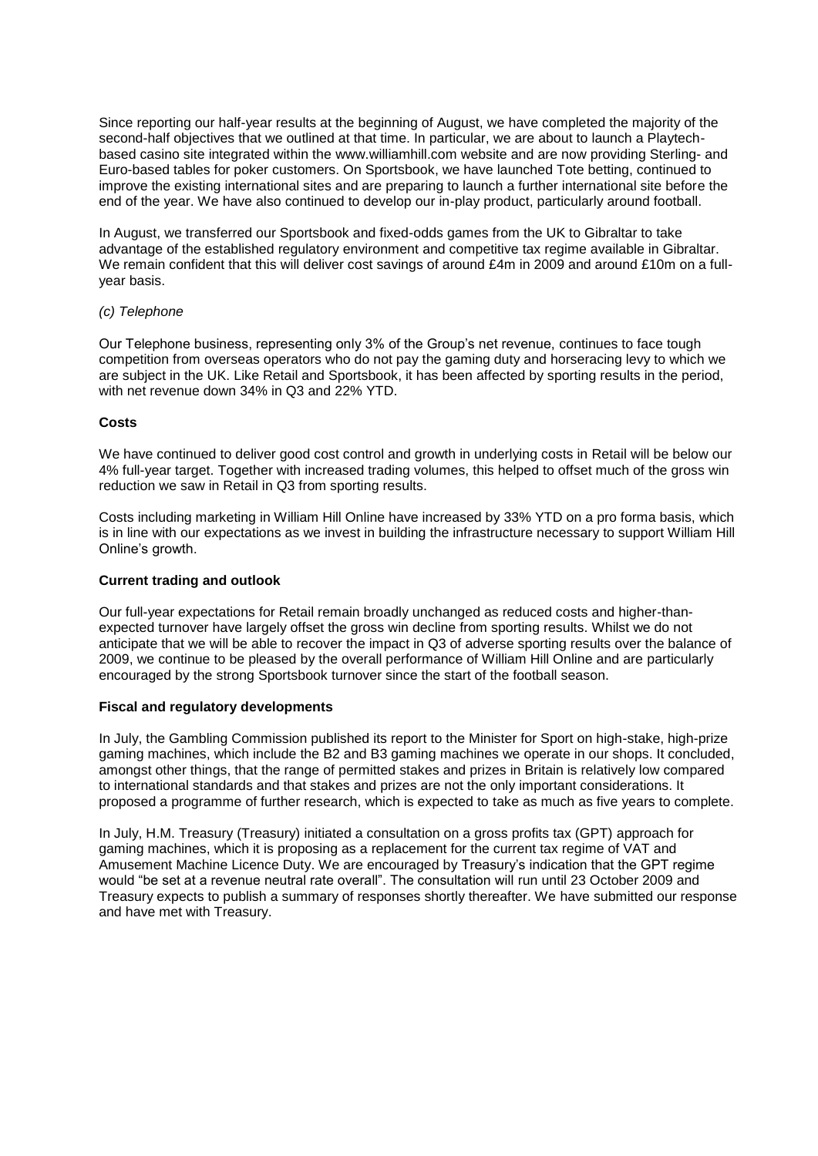Since reporting our half-year results at the beginning of August, we have completed the majority of the second-half objectives that we outlined at that time. In particular, we are about to launch a Playtechbased casino site integrated within the www.williamhill.com website and are now providing Sterling- and Euro-based tables for poker customers. On Sportsbook, we have launched Tote betting, continued to improve the existing international sites and are preparing to launch a further international site before the end of the year. We have also continued to develop our in-play product, particularly around football.

In August, we transferred our Sportsbook and fixed-odds games from the UK to Gibraltar to take advantage of the established regulatory environment and competitive tax regime available in Gibraltar. We remain confident that this will deliver cost savings of around £4m in 2009 and around £10m on a fullyear basis.

#### *(c) Telephone*

Our Telephone business, representing only 3% of the Group"s net revenue, continues to face tough competition from overseas operators who do not pay the gaming duty and horseracing levy to which we are subject in the UK. Like Retail and Sportsbook, it has been affected by sporting results in the period, with net revenue down 34% in Q3 and 22% YTD.

## **Costs**

We have continued to deliver good cost control and growth in underlying costs in Retail will be below our 4% full-year target. Together with increased trading volumes, this helped to offset much of the gross win reduction we saw in Retail in Q3 from sporting results.

Costs including marketing in William Hill Online have increased by 33% YTD on a pro forma basis, which is in line with our expectations as we invest in building the infrastructure necessary to support William Hill Online's growth.

## **Current trading and outlook**

Our full-year expectations for Retail remain broadly unchanged as reduced costs and higher-thanexpected turnover have largely offset the gross win decline from sporting results. Whilst we do not anticipate that we will be able to recover the impact in Q3 of adverse sporting results over the balance of 2009, we continue to be pleased by the overall performance of William Hill Online and are particularly encouraged by the strong Sportsbook turnover since the start of the football season.

#### **Fiscal and regulatory developments**

In July, the Gambling Commission published its report to the Minister for Sport on high-stake, high-prize gaming machines, which include the B2 and B3 gaming machines we operate in our shops. It concluded, amongst other things, that the range of permitted stakes and prizes in Britain is relatively low compared to international standards and that stakes and prizes are not the only important considerations. It proposed a programme of further research, which is expected to take as much as five years to complete.

In July, H.M. Treasury (Treasury) initiated a consultation on a gross profits tax (GPT) approach for gaming machines, which it is proposing as a replacement for the current tax regime of VAT and Amusement Machine Licence Duty. We are encouraged by Treasury"s indication that the GPT regime would "be set at a revenue neutral rate overall". The consultation will run until 23 October 2009 and Treasury expects to publish a summary of responses shortly thereafter. We have submitted our response and have met with Treasury.